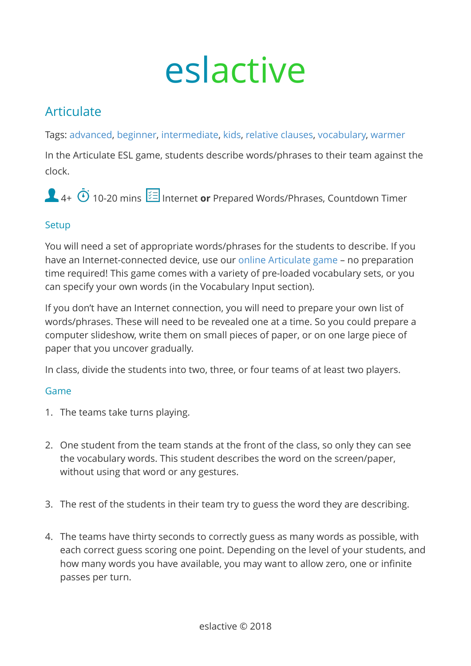# eslactive

## Articulate

Tags: [advanced,](https://eslactive.com/tag/advanced/) [beginner,](https://eslactive.com/tag/beginner/) [intermediate](https://eslactive.com/tag/intermediate/), [kids](https://eslactive.com/tag/kids/), [relative clauses,](https://eslactive.com/tag/relative-clauses/) [vocabulary](https://eslactive.com/tag/vocabulary/), [warmer](https://eslactive.com/tag/warmer/)

In the Articulate ESL game, students describe words/phrases to their team against the clock.

4+  $\ddot{\textbf{O}}$  10-20 mins  $\frac{1}{2}$  Internet or Prepared Words/Phrases, Countdown Timer

### **Setup**

You will need a set of appropriate words/phrases for the students to describe. If you have an Internet-connected device, use our [online Articulate game](https://eslactive.com/interactive/articulate-game/) – no preparation time required! This game comes with a variety of pre-loaded vocabulary sets, or you can specify your own words (in the Vocabulary Input section).

If you don't have an Internet connection, you will need to prepare your own list of words/phrases. These will need to be revealed one at a time. So you could prepare a computer slideshow, write them on small pieces of paper, or on one large piece of paper that you uncover gradually.

In class, divide the students into two, three, or four teams of at least two players.

#### Game

- 1. The teams take turns playing.
- 2. One student from the team stands at the front of the class, so only they can see the vocabulary words. This student describes the word on the screen/paper, without using that word or any gestures.
- 3. The rest of the students in their team try to guess the word they are describing.
- 4. The teams have thirty seconds to correctly guess as many words as possible, with each correct guess scoring one point. Depending on the level of your students, and how many words you have available, you may want to allow zero, one or infinite passes per turn.